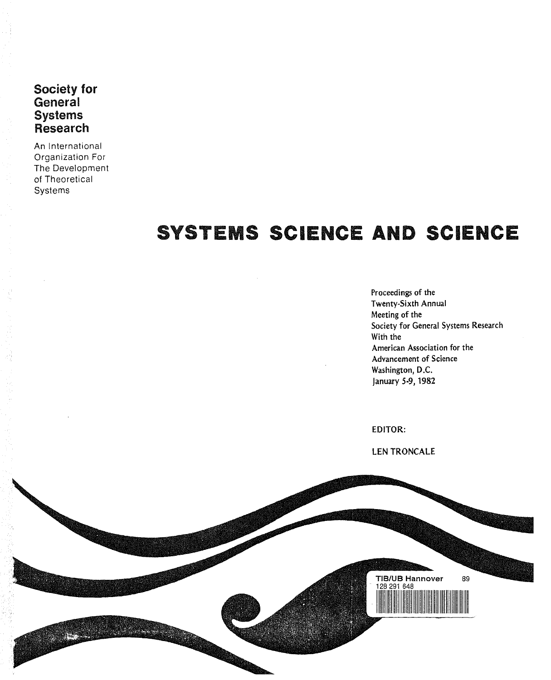Society for **General Systems** Research

An International Organization For The Development of Theoretical **Systems** 

## SYSTEMS SCIENCE AND SCIENCE

Proceedings of the Twenty-Sixth Annual Meeting of the Society for General Systems Research With the American Association for the Advancement of Science Washington, D.C. January 5-9,1982

EDITOR:

LEN TRONCALE

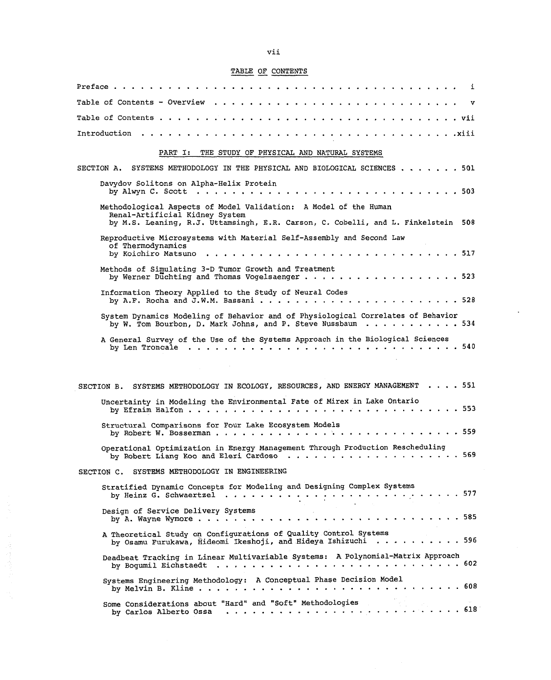## TABLE OF CONTENTS

| Preface .<br>i.                                                                                                                                                                                                                                    |
|----------------------------------------------------------------------------------------------------------------------------------------------------------------------------------------------------------------------------------------------------|
| Table of Contents - Overview<br>v                                                                                                                                                                                                                  |
| Table of Contents<br>. <i>.</i> vii                                                                                                                                                                                                                |
| Introduction<br>. <i>. .</i> xiii                                                                                                                                                                                                                  |
| PART I:<br>THE STUDY OF PHYSICAL AND NATURAL SYSTEMS                                                                                                                                                                                               |
| SYSTEMS METHODOLOGY IN THE PHYSICAL AND BIOLOGICAL SCIENCES 501<br>SECTION A.                                                                                                                                                                      |
| Davydov Solitons on Alpha-Helix Protein<br>by Alwyn C. Scott $\ldots$ ,<br>. . 503<br>$\mathbf{a}$ , and $\mathbf{a}$ , and $\mathbf{a}$ , and $\mathbf{a}$                                                                                        |
| Methodological Aspects of Model Validation: A Model of the Human<br>Renal-Artificial Kidney System<br>by M.S. Leaning, R.J. Uttamsingh, E.R. Carson, C. Cobelli, and L. Finkelstein 508                                                            |
| Reproductive Microsystems with Material Self-Assembly and Second Law<br>of Thermodynamics<br>by Koichiro Matsuno<br>$\ldots 517$                                                                                                                   |
| Methods of Simulating 3-D Tumor Growth and Treatment<br>by Werner Duchting and Thomas Vogelsaenger<br>. 523<br>$\begin{array}{cccccccccccccc} \bullet & \bullet & \bullet & \bullet & \bullet & \bullet & \bullet & \bullet & \bullet \end{array}$ |
| Information Theory Applied to the Study of Neural Codes<br>by A.F. Rocha and J.W.M. Bassani<br>. . 528                                                                                                                                             |
| System Dynamics Modeling of Behavior and of Physiological Correlates of Behavior<br>by W. Tom Bourbon, D. Mark Johns, and P. Steve Nussbaum<br>. 534                                                                                               |
| A General Survey of the Use of the Systems Approach in the Biological Sciences                                                                                                                                                                     |
|                                                                                                                                                                                                                                                    |
| . 551<br>SYSTEMS METHODOLOGY IN ECOLOGY, RESOURCES, AND ENERGY MANAGEMENT<br>SECTION B.                                                                                                                                                            |
| Uncertainty in Modeling the Environmental Fate of Mirex in Lake Ontario<br>. 553<br>by Efraim Halfon $\ldots$                                                                                                                                      |
| Structural Comparisons for Four Lake Ecosystem Models<br>. 559<br>by Robert W. Bosserman                                                                                                                                                           |
| Operational Optimization in Energy Management Through Production Rescheduling                                                                                                                                                                      |
| SYSTEMS METHODOLOGY IN ENGINEERING<br>SECTION C.                                                                                                                                                                                                   |
| Stratified Dynamic Concepts for Modeling and Designing Complex Systems                                                                                                                                                                             |
| Design of Service Delivery Systems<br>. 585<br>, which is a constant of the set of $\mathcal{A}$<br>by A. Wayne Wymore $\ldots$ , $\ldots$ , $\ldots$                                                                                              |
| A Theoretical Study on Configurations of Quality Control Systems<br>by Osamu Furukawa, Hideomi Ikeshoji, and Hideya Ishizuchi 596                                                                                                                  |
| Deadbeat Tracking in Linear Multivariable Systems: A Polynomial-Matrix Approach                                                                                                                                                                    |
| Systems Engineering Methodology: A Conceptual Phase Decision Model                                                                                                                                                                                 |
| Some Considerations about "Hard" and "Soft" Methodologies                                                                                                                                                                                          |

自我性感的。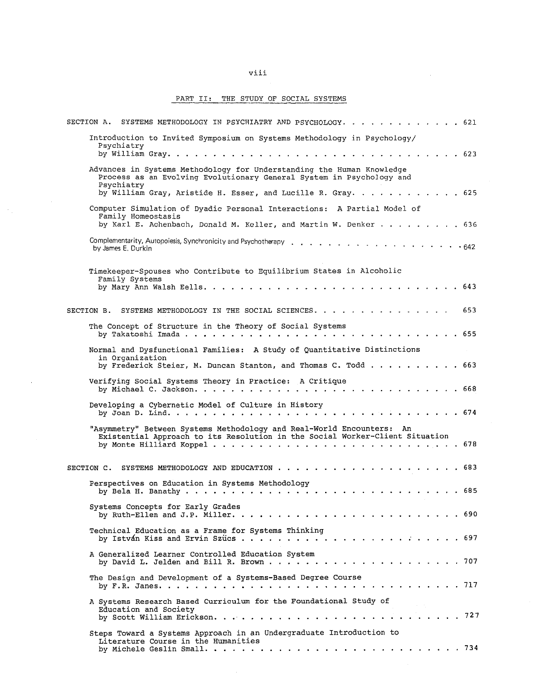## viii

## PART II: THE STUDY OF SOCIAL SYSTEMS

 $\hat{\sigma}_{\mu}$ 

 $\mathcal{L}_{\mathcal{A}}$ 

| SECTION A. SYSTEMS METHODOLOGY IN PSYCHIATRY AND PSYCHOLOGY. 621                                                                                      |
|-------------------------------------------------------------------------------------------------------------------------------------------------------|
| Introduction to Invited Symposium on Systems Methodology in Psychology/<br>Psychiatry                                                                 |
| Advances in Systems Methodology for Understanding the Human Knowledge<br>Process as an Evolving Evolutionary General System in Psychology and         |
| Psychiatry<br>by William Gray, Aristide H. Esser, and Lucille R. Gray. 625                                                                            |
| Computer Simulation of Dyadic Personal Interactions: A Partial Model of                                                                               |
| Family Homeostasis<br>by Karl E. Achenbach, Donald M. Keller, and Martin W. Denker 636                                                                |
| by James E. Durkin                                                                                                                                    |
| Timekeeper-Spouses who Contribute to Equilibrium States in Alcoholic<br>Family Systems                                                                |
|                                                                                                                                                       |
| SECTION B. SYSTEMS METHODOLOGY IN THE SOCIAL SCIENCES.<br>653                                                                                         |
| The Concept of Structure in the Theory of Social Systems                                                                                              |
| Normal and Dysfunctional Families: A Study of Quantitative Distinctions<br>in Organization                                                            |
| by Frederick Steier, M. Duncan Stanton, and Thomas C. Todd 663                                                                                        |
| Verifying Social Systems Theory in Practice: A Critique                                                                                               |
| Developing a Cybernetic Model of Culture in History                                                                                                   |
| "Asymmetry" Between Systems Methodology and Real-World Encounters: An<br>Existential Approach to its Resolution in the Social Worker-Client Situation |
|                                                                                                                                                       |
| Perspectives on Education in Systems Methodology                                                                                                      |
| Systems Concepts for Early Grades                                                                                                                     |
| Technical Education as a Frame for Systems Thinking                                                                                                   |
| A Generalized Learner Controlled Education System                                                                                                     |
| The Design and Development of a Systems-Based Degree Course                                                                                           |
| A Systems Research Based Curriculum for the Foundational Study of<br>Education and Society                                                            |
| Steps Toward a Systems Approach in an Undergraduate Introduction to<br>Literature Course in the Humanities                                            |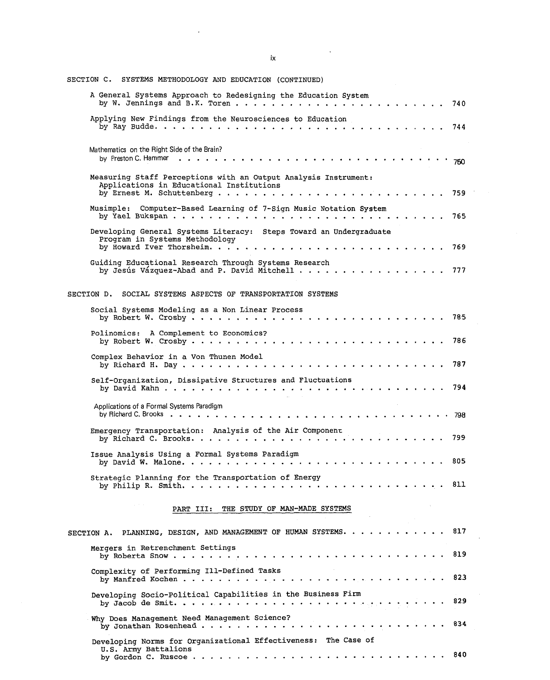| SECTION C.<br>SYSTEMS METHODOLOGY AND EDUCATION (CONTINUED)                                                          |  |
|----------------------------------------------------------------------------------------------------------------------|--|
| A General Systems Approach to Redesigning the Education System<br>740                                                |  |
| Applying New Findings from the Neurosciences to Education                                                            |  |
| Mathematics on the Right Side of the Brain?<br>by Preston C. Hammer<br>by Preston C. Hammer                          |  |
| Measuring Staff Perceptions with an Output Analysis Instrument:<br>Applications in Educational Institutions<br>759   |  |
| Musimple: Computer-Based Learning of 7-Sign Music Notation System<br>- 765                                           |  |
| Developing General Systems Literacy: Steps Toward an Undergraduate<br>Program in Systems Methodology                 |  |
| Guiding Educational Research Through Systems Research                                                                |  |
| SECTION D.<br>SOCIAL SYSTEMS ASPECTS OF TRANSPORTATION SYSTEMS                                                       |  |
| Social Systems Modeling as a Non Linear Process                                                                      |  |
| Polinomics: A Complement to Economics?<br>- 786                                                                      |  |
| Complex Behavior in a Von Thunen Model<br>- 787                                                                      |  |
| Self-Organization, Dissipative Structures and Fluctuations<br>- 794                                                  |  |
| Applications of a Formal Systems Paradigm                                                                            |  |
| Emergency Transportation: Analysis of the Air Component<br>799                                                       |  |
| Issue Analysis Using a Formal Systems Paradigm<br>805                                                                |  |
| Strategic Planning for the Transportation of Energy<br>811                                                           |  |
| PART III:<br>THE STUDY OF MAN-MADE SYSTEMS                                                                           |  |
| 817<br>PLANNING, DESIGN, AND MANAGEMENT OF HUMAN SYSTEMS.<br>SECTION A.                                              |  |
| Mergers in Retrenchment Settings<br>819<br>by Roberta Snow<br>$\sim$ $\sim$ $\sim$                                   |  |
| Complexity of Performing Ill-Defined Tasks<br>823<br>by Manfred Kochen<br>$\sim$ $\sim$ $\sim$ $\sim$ $\sim$         |  |
| Developing Socio-Political Capabilities in the Business Firm<br>829                                                  |  |
| Why Does Management Need Management Science?<br>834<br>by Jonathan Rosenhead                                         |  |
| Developing Norms for Organizational Effectiveness: The Case of<br>U.S. Army Battalions<br>840<br>by Gordon C. Ruscoe |  |

 $i\mathsf{x}$ 

 $\mathcal{L}^{\text{max}}_{\text{max}}$  , where  $\mathcal{L}^{\text{max}}_{\text{max}}$ 

 $\mathcal{L}^{\text{max}}_{\text{max}}$  and  $\mathcal{L}^{\text{max}}_{\text{max}}$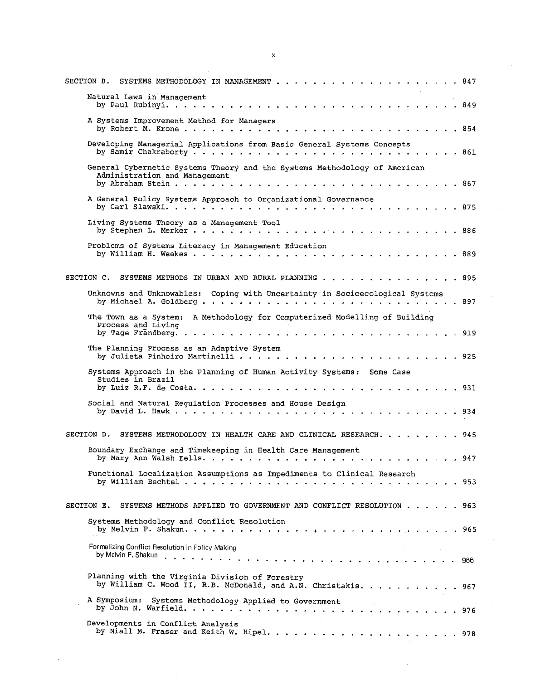| SECTION B.<br>SYSTEMS METHODOLOGY IN MANAGEMENT<br>847<br>.                                                         |
|---------------------------------------------------------------------------------------------------------------------|
| Natural Laws in Management<br>by Paul Rubinyi.<br>849                                                               |
| A Systems Improvement Method for Managers<br>by Robert M. Krone<br>. 854                                            |
| Developing Managerial Applications from Basic General Systems Concepts<br>. 861                                     |
| General Cybernetic Systems Theory and the Systems Methodology of American<br>Administration and Management<br>. 867 |
| A General Policy Systems Approach to Organizational Governance<br>. . 875                                           |
| Living Systems Theory as a Management Tool<br>. 886                                                                 |
| Problems of Systems Literacy in Management Education<br>. . 889                                                     |
| SECTION C.<br>SYSTEMS METHODS IN URBAN AND RURAL PLANNING<br>. 895                                                  |
| Unknowns and Unknowables: Coping with Uncertainty in Socioecological Systems                                        |
| The Town as a System: A Methodology for Computerized Modelling of Building<br>Process and Living                    |
| The Planning Process as an Adaptive System                                                                          |
| Systems Approach in the Planning of Human Activity Systems: Some Case<br>Studies in Brazil<br>. 931                 |
| Social and Natural Requlation Processes and House Design<br>934                                                     |
| SECTION D.<br>SYSTEMS METHODOLOGY IN HEALTH CARE AND CLINICAL RESEARCH. 945                                         |
| Boundary Exchange and Timekeeping in Health Care Management<br>. 947                                                |
| Functional Localization Assumptions as Impediments to Clinical Research<br>953                                      |
| SECTION E. SYSTEMS METHODS APPLIED TO GOVERNMENT AND CONFLICT RESOLUTION 963                                        |
| Systems Methodology and Conflict Resolution                                                                         |
| Formalizing Conflict Resolution in Policy Making                                                                    |
| Planning with the Virginia Division of Forestry<br>by William C. Wood II, R.B. McDonald, and A.N. Christakis. 967   |
| A Symposium: Systems Methodology Applied to Government                                                              |
| Developments in Conflict Analysis                                                                                   |

 $\mathbf x$